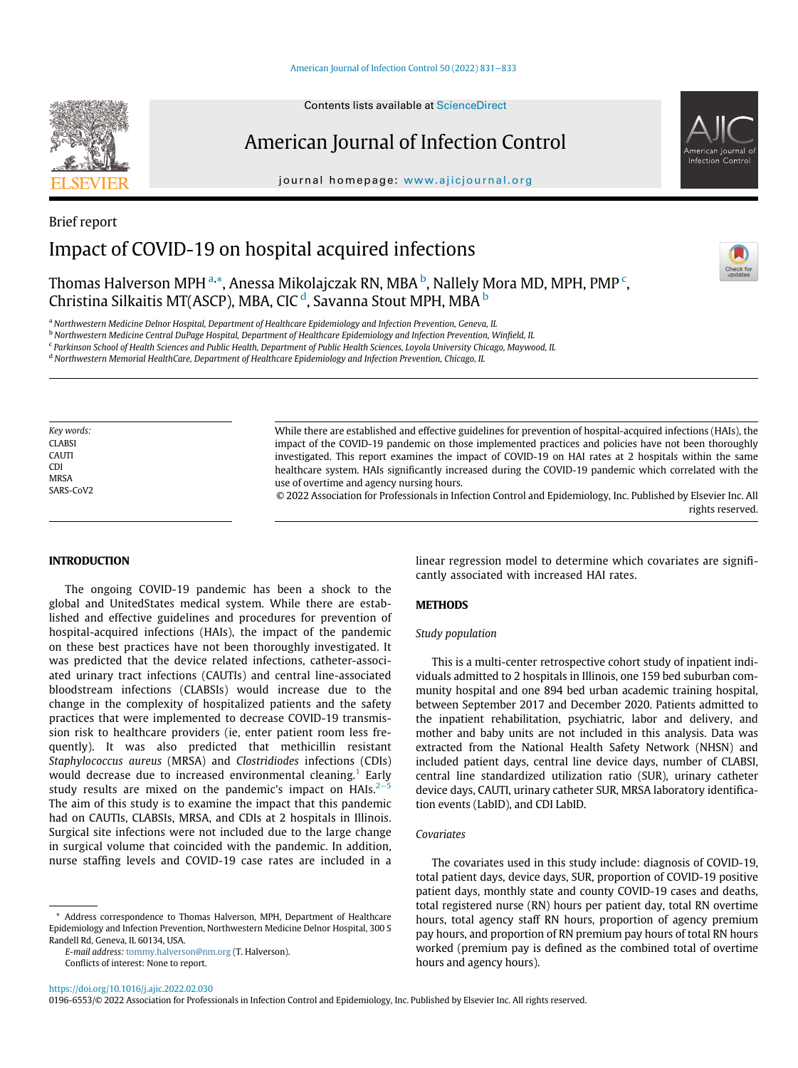#### [American Journal of Infection Control 50 \(2022\) 831](https://doi.org/10.1016/j.ajic.2022.02.030)−833

# American Journal of Infection Control

journal homepage: [www.ajicjournal.org](http://www.ajicjournal.org)



# Brief report Impact of COVID-19 on hospital acquired infections

Thomas Halverson MPH <sup>[a,](#page-0-0)</sup>[\\*](#page-0-1), Anessa Mikolajczak RN, MBA <sup>[b](#page-0-2)</sup>, Nallely Mora MD, MPH, PMP <sup>[c](#page-0-3)</sup>, Christina Silkaitis MT(ASCP), MBA, CIC<sup>[d](#page-0-4)</sup>, Savanna Stout MPH, MBA <sup>[b](#page-0-2)</sup>

<span id="page-0-0"></span><sup>a</sup> Northwestern Medicine Delnor Hospital, Department of Healthcare Epidemiology and Infection Prevention, Geneva, IL

<span id="page-0-2"></span><sup>b</sup> Northwestern Medicine Central DuPage Hospital, Department of Healthcare Epidemiology and Infection Prevention, Winfield, IL

<span id="page-0-3"></span><sup>c</sup> Parkinson School of Health Sciences and Public Health, Department of Public Health Sciences, Loyola University Chicago, Maywood, IL

<span id="page-0-4"></span><sup>d</sup> Northwestern Memorial HealthCare, Department of Healthcare Epidemiology and Infection Prevention, Chicago, IL

Key words: **CLABSI** CAUTI CDI MRSA SARS-CoV2 While there are established and effective guidelines for prevention of hospital-acquired infections (HAIs), the impact of the COVID-19 pandemic on those implemented practices and policies have not been thoroughly investigated. This report examines the impact of COVID-19 on HAI rates at 2 hospitals within the same healthcare system. HAIs significantly increased during the COVID-19 pandemic which correlated with the use of overtime and agency nursing hours.

© 2022 Association for Professionals in Infection Control and Epidemiology, Inc. Published by Elsevier Inc. All rights reserved.

## INTRODUCTION

The ongoing COVID-19 pandemic has been a shock to the global and UnitedStates medical system. While there are established and effective guidelines and procedures for prevention of hospital-acquired infections (HAIs), the impact of the pandemic on these best practices have not been thoroughly investigated. It was predicted that the device related infections, catheter-associated urinary tract infections (CAUTIs) and central line-associated bloodstream infections (CLABSIs) would increase due to the change in the complexity of hospitalized patients and the safety practices that were implemented to decrease COVID-19 transmission risk to healthcare providers (ie, enter patient room less frequently). It was also predicted that methicillin resistant Staphylococcus aureus (MRSA) and Clostridiodes infections (CDIs) would decrease due to increased environmental cleaning.<sup>[1](#page-2-0)</sup> Early study results are mixed on the pandemic's impact on HAIs. $2<sup>-5</sup>$ The aim of this study is to examine the impact that this pandemic had on CAUTIs, CLABSIs, MRSA, and CDIs at 2 hospitals in Illinois. Surgical site infections were not included due to the large change in surgical volume that coincided with the pandemic. In addition, nurse staffing levels and COVID-19 case rates are included in a

<span id="page-0-1"></span>\* Address correspondence to Thomas Halverson, MPH, Department of Healthcare Epidemiology and Infection Prevention, Northwestern Medicine Delnor Hospital, 300 S Randell Rd, Geneva, IL 60134, USA.

E-mail address: [tommy.halverson@nm.org](mailto:tommy.halverson@nm.org) (T. Halverson). Conflicts of interest: None to report.

linear regression model to determine which covariates are significantly associated with increased HAI rates.

#### **METHODS**

### Study population

This is a multi-center retrospective cohort study of inpatient individuals admitted to 2 hospitals in Illinois, one 159 bed suburban community hospital and one 894 bed urban academic training hospital, between September 2017 and December 2020. Patients admitted to the inpatient rehabilitation, psychiatric, labor and delivery, and mother and baby units are not included in this analysis. Data was extracted from the National Health Safety Network (NHSN) and included patient days, central line device days, number of CLABSI, central line standardized utilization ratio (SUR), urinary catheter device days, CAUTI, urinary catheter SUR, MRSA laboratory identification events (LabID), and CDI LabID.

## Covariates

The covariates used in this study include: diagnosis of COVID-19, total patient days, device days, SUR, proportion of COVID-19 positive patient days, monthly state and county COVID-19 cases and deaths, total registered nurse (RN) hours per patient day, total RN overtime hours, total agency staff RN hours, proportion of agency premium pay hours, and proportion of RN premium pay hours of total RN hours worked (premium pay is defined as the combined total of overtime hours and agency hours).

0196-6553/© 2022 Association for Professionals in Infection Control and Epidemiology, Inc. Published by Elsevier Inc. All rights reserved.

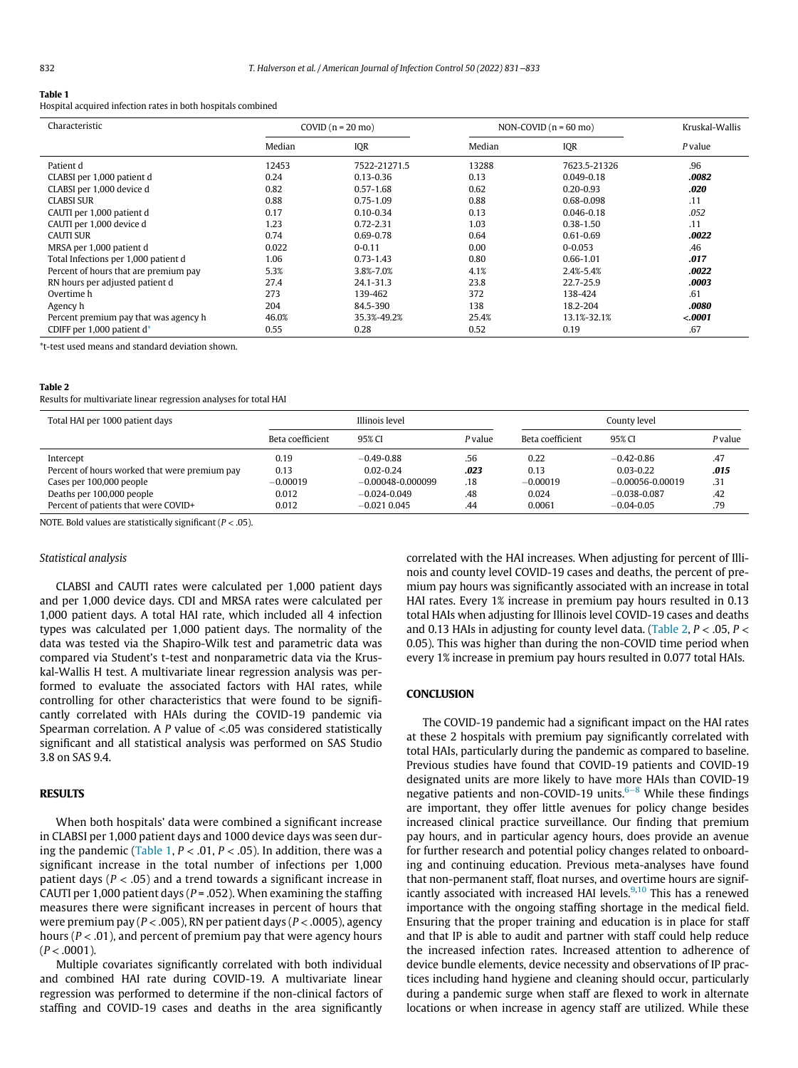#### <span id="page-1-0"></span>Table 1

Hospital acquired infection rates in both hospitals combined

| Characteristic                        | COVID $(n = 20 \text{ mo})$ |               | NON-COVID $(n = 60$ mo) |                | Kruskal-Wallis |  |
|---------------------------------------|-----------------------------|---------------|-------------------------|----------------|----------------|--|
|                                       | Median                      | IQR           | Median                  | IQR            | P value        |  |
| Patient d                             | 12453                       | 7522-21271.5  | 13288                   | 7623.5-21326   | .96            |  |
| CLABSI per 1,000 patient d            | 0.24                        | $0.13 - 0.36$ | 0.13                    | $0.049 - 0.18$ | .0082          |  |
| CLABSI per 1,000 device d             | 0.82                        | $0.57 - 1.68$ | 0.62                    | $0.20 - 0.93$  | .020           |  |
| CLABSI SUR                            | 0.88                        | $0.75 - 1.09$ | 0.88                    | 0.68-0.098     | .11            |  |
| CAUTI per 1,000 patient d             | 0.17                        | $0.10 - 0.34$ | 0.13                    | $0.046 - 0.18$ | .052           |  |
| CAUTI per 1,000 device d              | 1.23                        | $0.72 - 2.31$ | 1.03                    | $0.38 - 1.50$  | .11            |  |
| <b>CAUTI SUR</b>                      | 0.74                        | $0.69 - 0.78$ | 0.64                    | $0.61 - 0.69$  | .0022          |  |
| MRSA per 1,000 patient d              | 0.022                       | $0 - 0.11$    | 0.00                    | $0 - 0.053$    | .46            |  |
| Total Infections per 1,000 patient d  | 1.06                        | $0.73 - 1.43$ | 0.80                    | $0.66 - 1.01$  | .017           |  |
| Percent of hours that are premium pay | 5.3%                        | 3.8%-7.0%     | 4.1%                    | 2.4%-5.4%      | .0022          |  |
| RN hours per adjusted patient d       | 27.4                        | 24.1-31.3     | 23.8                    | 22.7-25.9      | .0003          |  |
| Overtime h                            | 273                         | 139-462       | 372                     | 138-424        | .61            |  |
| Agency h                              | 204                         | 84.5-390      | 138                     | 18.2-204       | .0080          |  |
| Percent premium pay that was agency h | 46.0%                       | 35.3%-49.2%   | 25.4%                   | 13.1%-32.1%    | < .0001        |  |
| CDIFF per 1,000 patient d*            | 0.55                        | 0.28          | 0.52                    | 0.19           | .67            |  |

<span id="page-1-2"></span>\*t-test used means and standard deviation shown.

#### <span id="page-1-1"></span>Table 2

Results for multivariate linear regression analyses for total HAI

| Total HAI per 1000 patient days               | Illinois level   |                       |         | County level     |                      |         |
|-----------------------------------------------|------------------|-----------------------|---------|------------------|----------------------|---------|
|                                               | Beta coefficient | 95% CI                | P value | Beta coefficient | 95% CI               | P value |
| Intercept                                     | 0.19             | $-0.49 - 0.88$        | .56     | 0.22             | $-0.42 - 0.86$       | .47     |
| Percent of hours worked that were premium pay | 0.13             | $0.02 - 0.24$         | .023    | 0.13             | $0.03 - 0.22$        | .015    |
| Cases per 100,000 people                      | $-0.00019$       | $-0.00048 - 0.000099$ | .18     | $-0.00019$       | $-0.00056 - 0.00019$ | .31     |
| Deaths per 100,000 people                     | 0.012            | $-0.024 - 0.049$      | .48     | 0.024            | $-0.038 - 0.087$     | .42     |
| Percent of patients that were COVID+          | 0.012            | $-0.021$ 0.045        | .44     | 0.0061           | $-0.04 - 0.05$       | .79     |

NOTE. Bold values are statistically significant ( $P < .05$ ).

#### Statistical analysis

CLABSI and CAUTI rates were calculated per 1,000 patient days and per 1,000 device days. CDI and MRSA rates were calculated per 1,000 patient days. A total HAI rate, which included all 4 infection types was calculated per 1,000 patient days. The normality of the data was tested via the Shapiro-Wilk test and parametric data was compared via Student's t-test and nonparametric data via the Kruskal-Wallis H test. A multivariate linear regression analysis was performed to evaluate the associated factors with HAI rates, while controlling for other characteristics that were found to be significantly correlated with HAIs during the COVID-19 pandemic via Spearman correlation. A  $P$  value of  $\lt$  05 was considered statistically significant and all statistical analysis was performed on SAS Studio 3.8 on SAS 9.4.

## RESULTS

When both hospitals' data were combined a significant increase in CLABSI per 1,000 patient days and 1000 device days was seen dur-ing the pandemic [\(Table 1](#page-1-0),  $P < .01, P < .05$ ). In addition, there was a significant increase in the total number of infections per 1,000 patient days ( $P < .05$ ) and a trend towards a significant increase in CAUTI per 1,000 patient days ( $P = .052$ ). When examining the staffing measures there were significant increases in percent of hours that were premium pay ( $P < .005$ ), RN per patient days ( $P < .0005$ ), agency hours ( $P < .01$ ), and percent of premium pay that were agency hours  $(P < .0001)$ .

Multiple covariates significantly correlated with both individual and combined HAI rate during COVID-19. A multivariate linear regression was performed to determine if the non-clinical factors of staffing and COVID-19 cases and deaths in the area significantly

correlated with the HAI increases. When adjusting for percent of Illinois and county level COVID-19 cases and deaths, the percent of premium pay hours was significantly associated with an increase in total HAI rates. Every 1% increase in premium pay hours resulted in 0.13 total HAIs when adjusting for Illinois level COVID-19 cases and deaths and 0.13 HAIs in adjusting for county level data. [\(Table 2](#page-1-1),  $P <$  .05,  $P <$ 0.05). This was higher than during the non-COVID time period when every 1% increase in premium pay hours resulted in 0.077 total HAIs.

### **CONCLUSION**

The COVID-19 pandemic had a significant impact on the HAI rates at these 2 hospitals with premium pay significantly correlated with total HAIs, particularly during the pandemic as compared to baseline. Previous studies have found that COVID-19 patients and COVID-19 designated units are more likely to have more HAIs than COVID-19 negative patients and non-COVID-19 units.<sup>6–8</sup> While these findings are important, they offer little avenues for policy change besides increased clinical practice surveillance. Our finding that premium pay hours, and in particular agency hours, does provide an avenue for further research and potential policy changes related to onboarding and continuing education. Previous meta-analyses have found that non-permanent staff, float nurses, and overtime hours are signif-icantly associated with increased HAI levels.<sup>[9,](#page-2-3)[10](#page-2-4)</sup> This has a renewed importance with the ongoing staffing shortage in the medical field. Ensuring that the proper training and education is in place for staff and that IP is able to audit and partner with staff could help reduce the increased infection rates. Increased attention to adherence of device bundle elements, device necessity and observations of IP practices including hand hygiene and cleaning should occur, particularly during a pandemic surge when staff are flexed to work in alternate locations or when increase in agency staff are utilized. While these